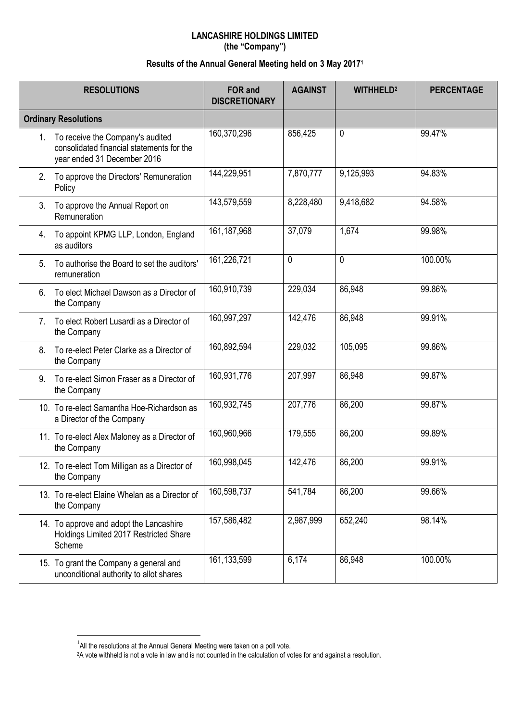## **LANCASHIRE HOLDINGS LIMITED (the "Company")**

## **Results of the Annual General Meeting held on 3 May 2017 1**

|                             | <b>RESOLUTIONS</b>                                                                                              | <b>FOR and</b><br><b>DISCRETIONARY</b> | <b>AGAINST</b> | <b>WITHHELD<sup>2</sup></b> | <b>PERCENTAGE</b> |
|-----------------------------|-----------------------------------------------------------------------------------------------------------------|----------------------------------------|----------------|-----------------------------|-------------------|
| <b>Ordinary Resolutions</b> |                                                                                                                 |                                        |                |                             |                   |
|                             | 1. To receive the Company's audited<br>consolidated financial statements for the<br>year ended 31 December 2016 | 160,370,296                            | 856,425        | 0                           | 99.47%            |
| 2.                          | To approve the Directors' Remuneration<br>Policy                                                                | 144,229,951                            | 7,870,777      | 9,125,993                   | 94.83%            |
| 3.                          | To approve the Annual Report on<br>Remuneration                                                                 | 143,579,559                            | 8,228,480      | 9,418,682                   | 94.58%            |
| 4.                          | To appoint KPMG LLP, London, England<br>as auditors                                                             | 161,187,968                            | 37,079         | 1,674                       | 99.98%            |
| 5.                          | To authorise the Board to set the auditors'<br>remuneration                                                     | 161,226,721                            | 0              | 0                           | 100.00%           |
| 6.                          | To elect Michael Dawson as a Director of<br>the Company                                                         | 160,910,739                            | 229,034        | 86,948                      | 99.86%            |
| 7.                          | To elect Robert Lusardi as a Director of<br>the Company                                                         | 160,997,297                            | 142,476        | 86,948                      | 99.91%            |
| 8.                          | To re-elect Peter Clarke as a Director of<br>the Company                                                        | 160,892,594                            | 229,032        | 105,095                     | 99.86%            |
| 9.                          | To re-elect Simon Fraser as a Director of<br>the Company                                                        | 160,931,776                            | 207,997        | 86,948                      | 99.87%            |
|                             | 10. To re-elect Samantha Hoe-Richardson as<br>a Director of the Company                                         | 160,932,745                            | 207,776        | 86,200                      | 99.87%            |
|                             | 11. To re-elect Alex Maloney as a Director of<br>the Company                                                    | 160,960,966                            | 179,555        | 86,200                      | 99.89%            |
|                             | 12. To re-elect Tom Milligan as a Director of<br>the Company                                                    | 160,998,045                            | 142,476        | 86,200                      | 99.91%            |
|                             | 13. To re-elect Elaine Whelan as a Director of<br>the Company                                                   | 160,598,737                            | 541,784        | 86,200                      | 99.66%            |
|                             | 14. To approve and adopt the Lancashire<br>Holdings Limited 2017 Restricted Share<br>Scheme                     | 157,586,482                            | 2,987,999      | 652,240                     | 98.14%            |
|                             | 15. To grant the Company a general and<br>unconditional authority to allot shares                               | 161,133,599                            | 6,174          | 86,948                      | 100.00%           |

 $\overline{a}$ 

 $<sup>1</sup>$ All the resolutions at the Annual General Meeting were taken on a poll vote.</sup>

<sup>&</sup>lt;sup>2</sup>A vote withheld is not a vote in law and is not counted in the calculation of votes for and against a resolution.